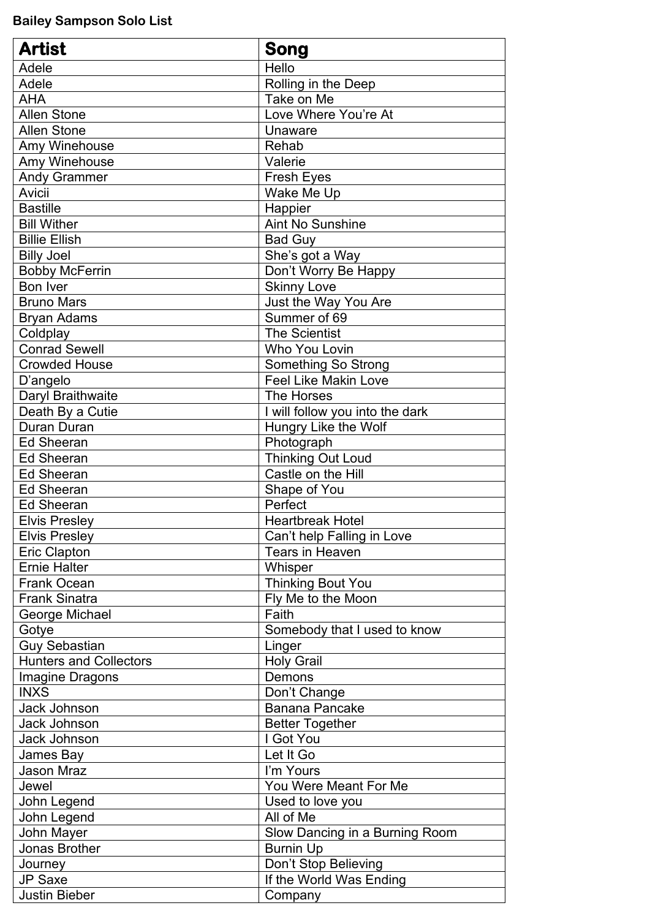**Bailey Sampson Solo List**

| <b>Artist</b>                 | <b>Song</b>                     |
|-------------------------------|---------------------------------|
| Adele                         | Hello                           |
| Adele                         | Rolling in the Deep             |
| <b>AHA</b>                    | Take on Me                      |
| <b>Allen Stone</b>            | Love Where You're At            |
| <b>Allen Stone</b>            | Unaware                         |
| Amy Winehouse                 | Rehab                           |
| Amy Winehouse                 | Valerie                         |
| <b>Andy Grammer</b>           | <b>Fresh Eyes</b>               |
| Avicii                        | Wake Me Up                      |
| <b>Bastille</b>               | Happier                         |
| <b>Bill Wither</b>            | <b>Aint No Sunshine</b>         |
| <b>Billie Ellish</b>          | <b>Bad Guy</b>                  |
| <b>Billy Joel</b>             | She's got a Way                 |
| <b>Bobby McFerrin</b>         | Don't Worry Be Happy            |
| <b>Bon Iver</b>               | <b>Skinny Love</b>              |
| <b>Bruno Mars</b>             | Just the Way You Are            |
| <b>Bryan Adams</b>            | Summer of 69                    |
| Coldplay                      | <b>The Scientist</b>            |
| <b>Conrad Sewell</b>          | Who You Lovin                   |
| <b>Crowded House</b>          | <b>Something So Strong</b>      |
| D'angelo                      | <b>Feel Like Makin Love</b>     |
| Daryl Braithwaite             | The Horses                      |
| Death By a Cutie              | I will follow you into the dark |
| Duran Duran                   | Hungry Like the Wolf            |
| <b>Ed Sheeran</b>             | Photograph                      |
| <b>Ed Sheeran</b>             | <b>Thinking Out Loud</b>        |
| <b>Ed Sheeran</b>             | Castle on the Hill              |
| <b>Ed Sheeran</b>             | Shape of You                    |
| <b>Ed Sheeran</b>             | Perfect                         |
| <b>Elvis Presley</b>          | <b>Heartbreak Hotel</b>         |
| <b>Elvis Presley</b>          | Can't help Falling in Love      |
| <b>Eric Clapton</b>           | <b>Tears in Heaven</b>          |
| <b>Ernie Halter</b>           | Whisper                         |
| <b>Frank Ocean</b>            | Thinking Bout You               |
| <b>Frank Sinatra</b>          | Fly Me to the Moon              |
| George Michael                | Faith                           |
| Gotye                         | Somebody that I used to know    |
| <b>Guy Sebastian</b>          | Linger                          |
| <b>Hunters and Collectors</b> | <b>Holy Grail</b>               |
| Imagine Dragons               | Demons                          |
| <b>INXS</b>                   | Don't Change                    |
| <b>Jack Johnson</b>           | <b>Banana Pancake</b>           |
| <b>Jack Johnson</b>           | <b>Better Together</b>          |
| <b>Jack Johnson</b>           | I Got You                       |
| James Bay                     | Let It Go                       |
| <b>Jason Mraz</b>             | I'm Yours                       |
| Jewel                         | You Were Meant For Me           |
| John Legend                   | Used to love you                |
| John Legend                   | All of Me                       |
| John Mayer                    | Slow Dancing in a Burning Room  |
| Jonas Brother                 | <b>Burnin Up</b>                |
| Journey                       | Don't Stop Believing            |
| <b>JP Saxe</b>                | If the World Was Ending         |
| <b>Justin Bieber</b>          | Company                         |
|                               |                                 |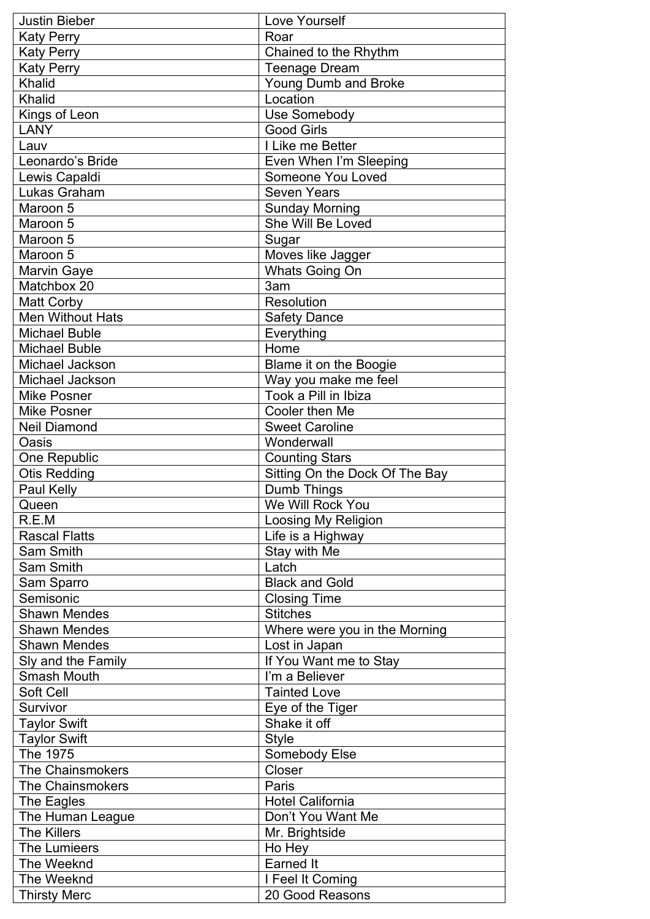| <b>Justin Bieber</b>    | Love Yourself                  |
|-------------------------|--------------------------------|
| <b>Katy Perry</b>       | Roar                           |
| <b>Katy Perry</b>       | Chained to the Rhythm          |
| <b>Katy Perry</b>       | <b>Teenage Dream</b>           |
| <b>Khalid</b>           | <b>Young Dumb and Broke</b>    |
| Khalid                  | Location                       |
| Kings of Leon           | Use Somebody                   |
| <b>LANY</b>             | <b>Good Girls</b>              |
| Lauv                    | I Like me Better               |
| Leonardo's Bride        | Even When I'm Sleeping         |
| Lewis Capaldi           | <b>Someone You Loved</b>       |
| Lukas Graham            | <b>Seven Years</b>             |
| Maroon 5                | <b>Sunday Morning</b>          |
| Maroon 5                | She Will Be Loved              |
| Maroon 5                | Sugar                          |
| Maroon 5                | Moves like Jagger              |
| <b>Marvin Gaye</b>      | <b>Whats Going On</b>          |
| Matchbox 20             | 3am                            |
| <b>Matt Corby</b>       | Resolution                     |
| <b>Men Without Hats</b> | <b>Safety Dance</b>            |
| <b>Michael Buble</b>    | Everything                     |
| <b>Michael Buble</b>    | Home                           |
| Michael Jackson         | Blame it on the Boogie         |
| Michael Jackson         | Way you make me feel           |
| <b>Mike Posner</b>      | Took a Pill in Ibiza           |
| <b>Mike Posner</b>      | Cooler then Me                 |
| <b>Neil Diamond</b>     | <b>Sweet Caroline</b>          |
| Oasis                   | Wonderwall                     |
| One Republic            | <b>Counting Stars</b>          |
| <b>Otis Redding</b>     | Sitting On the Dock Of The Bay |
| Paul Kelly              | Dumb Things                    |
| Queen                   | We Will Rock You               |
| R.E.M                   | Loosing My Religion            |
| <b>Rascal Flatts</b>    | Life is a Highway              |
| Sam Smith               | Stay with Me                   |
| <b>Sam Smith</b>        | Latch                          |
| Sam Sparro              | <b>Black and Gold</b>          |
| Semisonic               | <b>Closing Time</b>            |
| <b>Shawn Mendes</b>     | <b>Stitches</b>                |
| <b>Shawn Mendes</b>     | Where were you in the Morning  |
| <b>Shawn Mendes</b>     | Lost in Japan                  |
| Sly and the Family      | If You Want me to Stay         |
| <b>Smash Mouth</b>      | I'm a Believer                 |
| Soft Cell               | <b>Tainted Love</b>            |
| Survivor                | Eye of the Tiger               |
| <b>Taylor Swift</b>     | Shake it off                   |
| <b>Taylor Swift</b>     | <b>Style</b>                   |
| The 1975                | Somebody Else                  |
| <b>The Chainsmokers</b> | Closer                         |
| <b>The Chainsmokers</b> | Paris                          |
| The Eagles              | <b>Hotel California</b>        |
| The Human League        | Don't You Want Me              |
| <b>The Killers</b>      | Mr. Brightside                 |
| The Lumieers            | Ho Hey                         |
| The Weeknd              | <b>Earned It</b>               |
| The Weeknd              | I Feel It Coming               |
| <b>Thirsty Merc</b>     | 20 Good Reasons                |